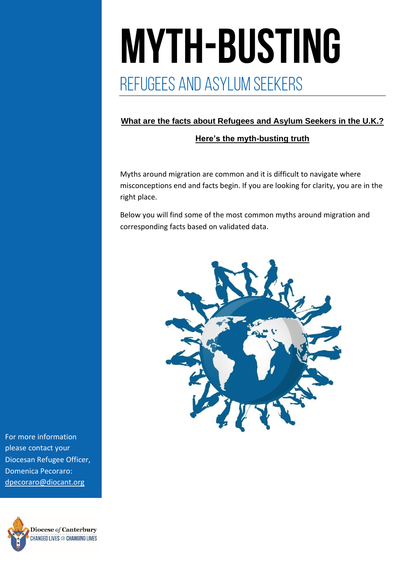# **MYTH-BUSTING**<br>REFUGEES AND ASYLUM SEEKERS

#### **What are the facts about Refugees and Asylum Seekers in the U.K.?**

#### **Here's the myth-busting truth**

Myths around migration are common and it is difficult to navigate where misconceptions end and facts begin. If you are looking for clarity, you are in the right place.

Below you will find some of the most common myths around migration and corresponding facts based on validated data.



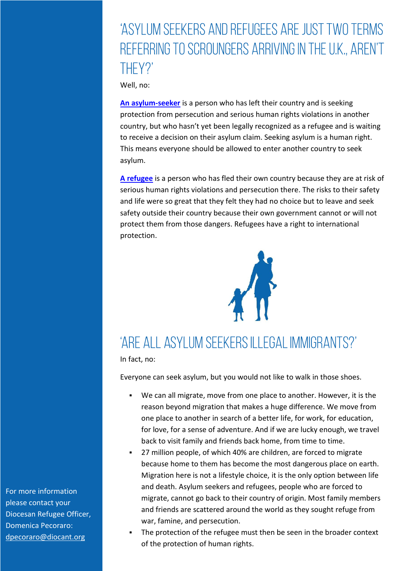## 'ASYLUM SEEKERS AND REFUGEES ARE JUST TWO TERMS REFERRING TO SCROUNGERS ARRIVING IN THE U.K., AREN'T THFY?'

Well, no:

**[An asylum-seeker](https://www.amnesty.org/en/what-we-do/refugees-asylum-seekers-and-migrants/)** is a person who has left their country and is seeking protection from persecution and serious human rights violations in another country, but who hasn't yet been legally recognized as a refugee and is waiting to receive a decision on their asylum claim. Seeking asylum is a human right. This means everyone should be allowed to enter another country to seek asylum.

**[A refugee](https://www.amnesty.org/en/what-we-do/refugees-asylum-seekers-and-migrants/)** is a person who has fled their own country because they are at risk of serious human rights violations and persecution there. The risks to their safety and life were so great that they felt they had no choice but to leave and seek safety outside their country because their own government cannot or will not protect them from those dangers. Refugees have a right to international protection.



# 'ARE ALL ASYLUM SEEKERS ILLEGAL IMMIGRANTS?'

In fact, no:

Everyone can seek asylum, but you would not like to walk in those shoes.

- We can all migrate, move from one place to another. However, it is the reason beyond migration that makes a huge difference. We move from one place to another in search of a better life, for work, for education, for love, for a sense of adventure. And if we are lucky enough, we travel back to visit family and friends back home, from time to time.
- 27 million people, of which 40% are children, are forced to migrate because home to them has become the most dangerous place on earth. Migration here is not a lifestyle choice, it is the only option between life and death. Asylum seekers and refugees, people who are forced to migrate, cannot go back to their country of origin. Most family members and friends are scattered around the world as they sought refuge from war, famine, and persecution.
- The protection of the refugee must then be seen in the broader context of the protection of human rights.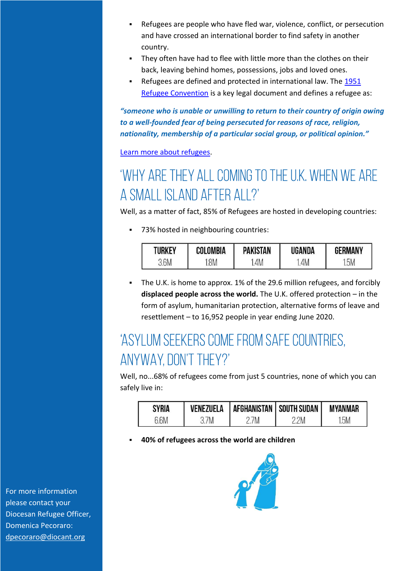- Refugees are people who have fled war, violence, conflict, or persecution and have crossed an international border to find safety in another country.
- They often have had to flee with little more than the clothes on their back, leaving behind homes, possessions, jobs and loved ones.
- Refugees are defined and protected in international law. The 1951 [Refugee Convention](https://www.unhcr.org/3b66c2aa10.html) is a key legal document and defines a refugee as:

*"someone who is unable or unwilling to return to their country of origin owing to a well-founded fear of being persecuted for reasons of race, religion, nationality, membership of a particular social group, or political opinion."*

[Learn more about refugees.](https://www.unhcr.org/refugees.html)

# 'WHY ARE THEY ALL COMING TO THE U.K. WHEN WE ARE A SMALL ISLAND AFTER ALL?'

Well, as a matter of fact, 85% of Refugees are hosted in developing countries:

■ 73% hosted in neighbouring countries:

| TURKEY | COLOMBIA | PAKISTAN | UGANDA | <b>GERMANY</b> |
|--------|----------|----------|--------|----------------|
| .6M    | .8M      | 4M       | 4M     | .5M            |

▪ The U.K. is home to approx. 1% of the 29.6 million refugees, and forcibly **displaced people across the world.** The U.K. offered protection – in the form of asylum, humanitarian protection, alternative forms of leave and resettlement – to 16,952 people in year ending June 2020.

## 'ASYLUM SEEKERS COME FROM SAFE COUNTRIES, ANYWAY, DON'T THEY?'

Well, no...68% of refugees come from just 5 countries, none of which you can safely live in:

| <b>SYRIA</b> |    | VENEZUELA   AFGHANISTAN   SOUTH SUDAN |    | MYANMAR |
|--------------|----|---------------------------------------|----|---------|
|              | 7M | 'N                                    | 2M | 5M      |

#### **40% of refugees across the world are children**

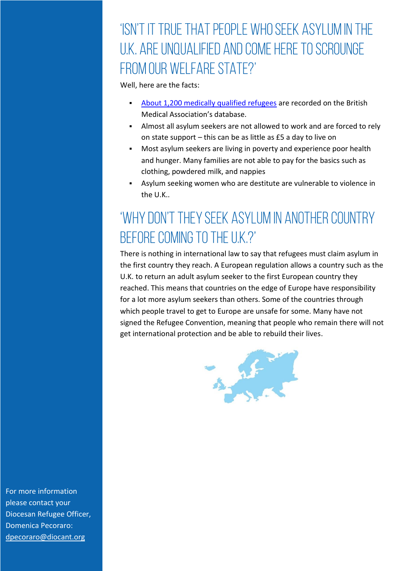## 'ISN'T IT TRUE THAT PEOPLE WHO SEEK ASYLUM IN THE U.K. ARE UNQUALIFIED AND COME HERE TO SCROUNGE FROM OUR WELFARE STATE?'

Well, here are the facts:

- [About 1,200 medically qualified refugees](https://www.refugeecouncil.org.uk/information/refugee-asylum-facts/top-10-facts-about-refugees-and-people-seeking-asylum/) are recorded on the British Medical Association's database.
- Almost all asylum seekers are not allowed to work and are forced to rely on state support – this can be as little as £5 a day to live on
- Most asylum seekers are living in poverty and experience poor health and hunger. Many families are not able to pay for the basics such as clothing, powdered milk, and nappies
- Asylum seeking women who are destitute are vulnerable to violence in the U.K..

# 'WHY DON'T THEY SEEK ASYLUM IN ANOTHER COUNTRY BEFORE COMING TO THE U.K.?'

There is nothing in international law to say that refugees must claim asylum in the first country they reach. A European regulation allows a country such as the U.K. to return an adult asylum seeker to the first European country they reached. This means that countries on the edge of Europe have responsibility for a lot more asylum seekers than others. Some of the countries through which people travel to get to Europe are unsafe for some. Many have not signed the Refugee Convention, meaning that people who remain there will not get international protection and be able to rebuild their lives.

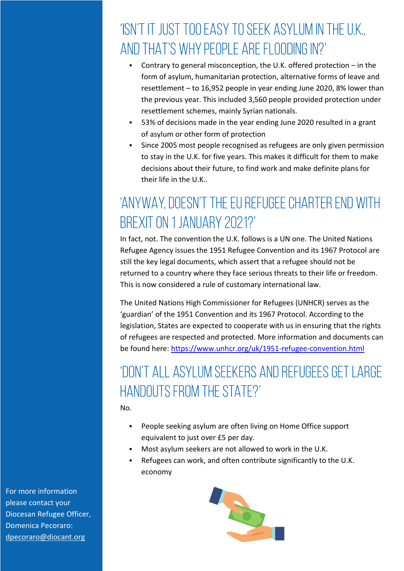## 'ISN'T IT JUST TOO EASY TO SEEK ASYLUM IN THE U.K., AND THAT'S WHY PEOPLE ARE FLOODING IN?'

- Contrary to general misconception, the U.K. offered protection in the form of asylum, humanitarian protection, alternative forms of leave and resettlement – to 16,952 people in year ending June 2020, 8% lower than the previous year. This included 3,560 people provided protection under resettlement schemes, mainly Syrian nationals.
- 53% of decisions made in the year ending June 2020 resulted in a grant of asylum or other form of protection
- Since 2005 most people recognised as refugees are only given permission to stay in the U.K. for five years. This makes it difficult for them to make decisions about their future, to find work and make definite plans for their life in the U.K..

# 'ANYWAY, DOESN'T THE EU REFUGEE CHARTER END WITH BREXIT ON 1 JANUARY 2021?'

In fact, not. The convention the U.K. follows is a UN one. The United Nations Refugee Agency issues the 1951 Refugee Convention and its 1967 Protocol are still the key legal documents, which assert that a refugee should not be returned to a country where they face serious threats to their life or freedom. This is now considered a rule of customary international law.

The United Nations High Commissioner for Refugees (UNHCR) serves as the 'guardian' of the 1951 Convention and its 1967 Protocol. According to the legislation, States are expected to cooperate with us in ensuring that the rights of refugees are respected and protected. More information and documents can be found here:<https://www.unhcr.org/uk/1951-refugee-convention.html>

## 'DON'T ALL ASYLUM SEEKERS AND REFUGEES GET LARGE **HANDOUTS FROM THE STATE?'**

No.

- People seeking asylum are often living on Home Office support equivalent to just over £5 per day.
- Most asylum seekers are not allowed to work in the U.K.
- Refugees can work, and often contribute significantly to the U.K. economy